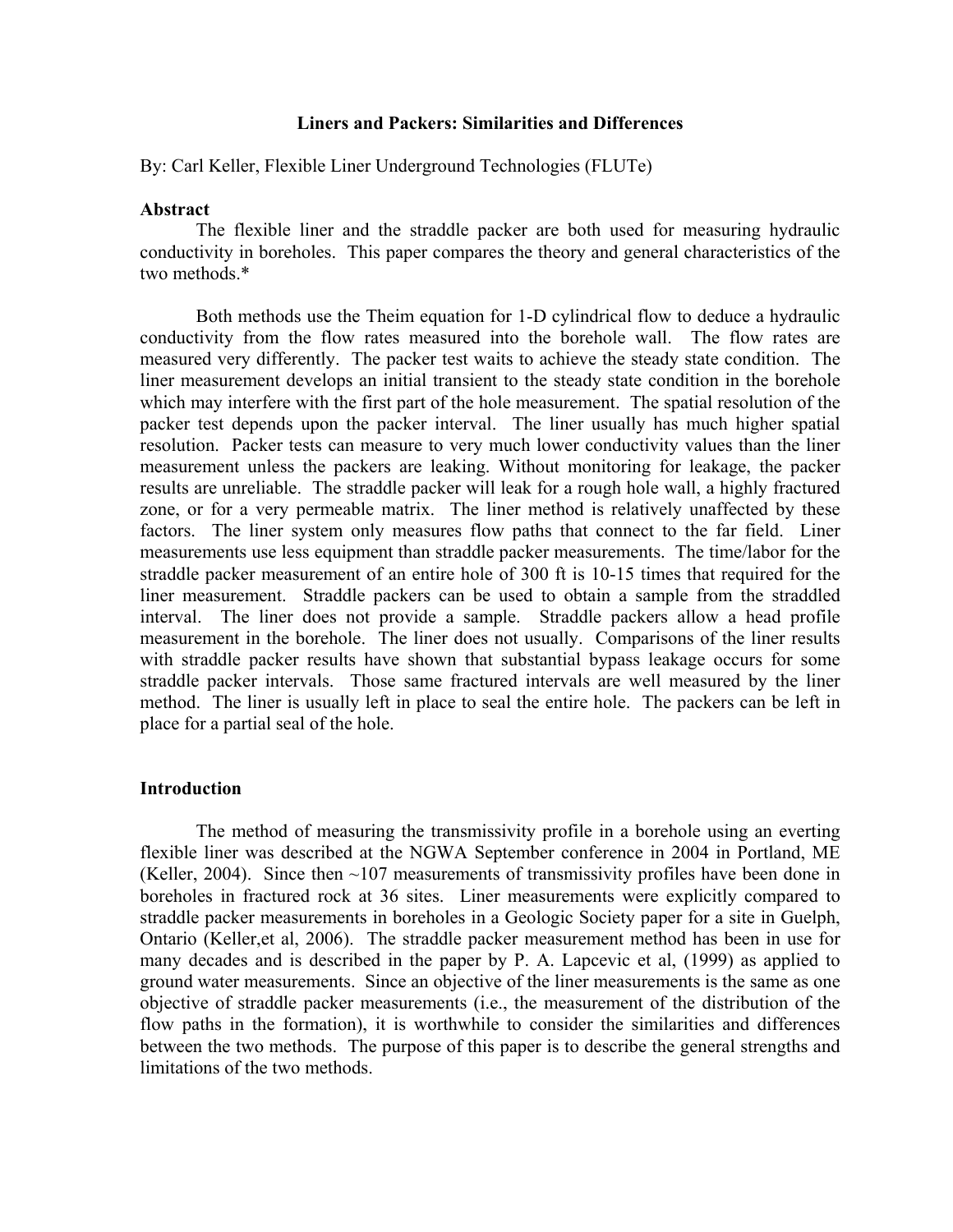# **Liners and Packers: Similarities and Differences**

By: Carl Keller, Flexible Liner Underground Technologies (FLUTe)

### **Abstract**

The flexible liner and the straddle packer are both used for measuring hydraulic conductivity in boreholes. This paper compares the theory and general characteristics of the two methods.\*

Both methods use the Theim equation for 1-D cylindrical flow to deduce a hydraulic conductivity from the flow rates measured into the borehole wall. The flow rates are measured very differently. The packer test waits to achieve the steady state condition. The liner measurement develops an initial transient to the steady state condition in the borehole which may interfere with the first part of the hole measurement. The spatial resolution of the packer test depends upon the packer interval. The liner usually has much higher spatial resolution. Packer tests can measure to very much lower conductivity values than the liner measurement unless the packers are leaking. Without monitoring for leakage, the packer results are unreliable. The straddle packer will leak for a rough hole wall, a highly fractured zone, or for a very permeable matrix. The liner method is relatively unaffected by these factors. The liner system only measures flow paths that connect to the far field. Liner measurements use less equipment than straddle packer measurements. The time/labor for the straddle packer measurement of an entire hole of 300 ft is 10-15 times that required for the liner measurement. Straddle packers can be used to obtain a sample from the straddled interval. The liner does not provide a sample. Straddle packers allow a head profile measurement in the borehole. The liner does not usually. Comparisons of the liner results with straddle packer results have shown that substantial bypass leakage occurs for some straddle packer intervals. Those same fractured intervals are well measured by the liner method. The liner is usually left in place to seal the entire hole. The packers can be left in place for a partial seal of the hole.

## **Introduction**

The method of measuring the transmissivity profile in a borehole using an everting flexible liner was described at the NGWA September conference in 2004 in Portland, ME (Keller, 2004). Since then  $\sim$ 107 measurements of transmissivity profiles have been done in boreholes in fractured rock at 36 sites. Liner measurements were explicitly compared to straddle packer measurements in boreholes in a Geologic Society paper for a site in Guelph, Ontario (Keller,et al, 2006). The straddle packer measurement method has been in use for many decades and is described in the paper by P. A. Lapcevic et al, (1999) as applied to ground water measurements. Since an objective of the liner measurements is the same as one objective of straddle packer measurements (i.e., the measurement of the distribution of the flow paths in the formation), it is worthwhile to consider the similarities and differences between the two methods. The purpose of this paper is to describe the general strengths and limitations of the two methods.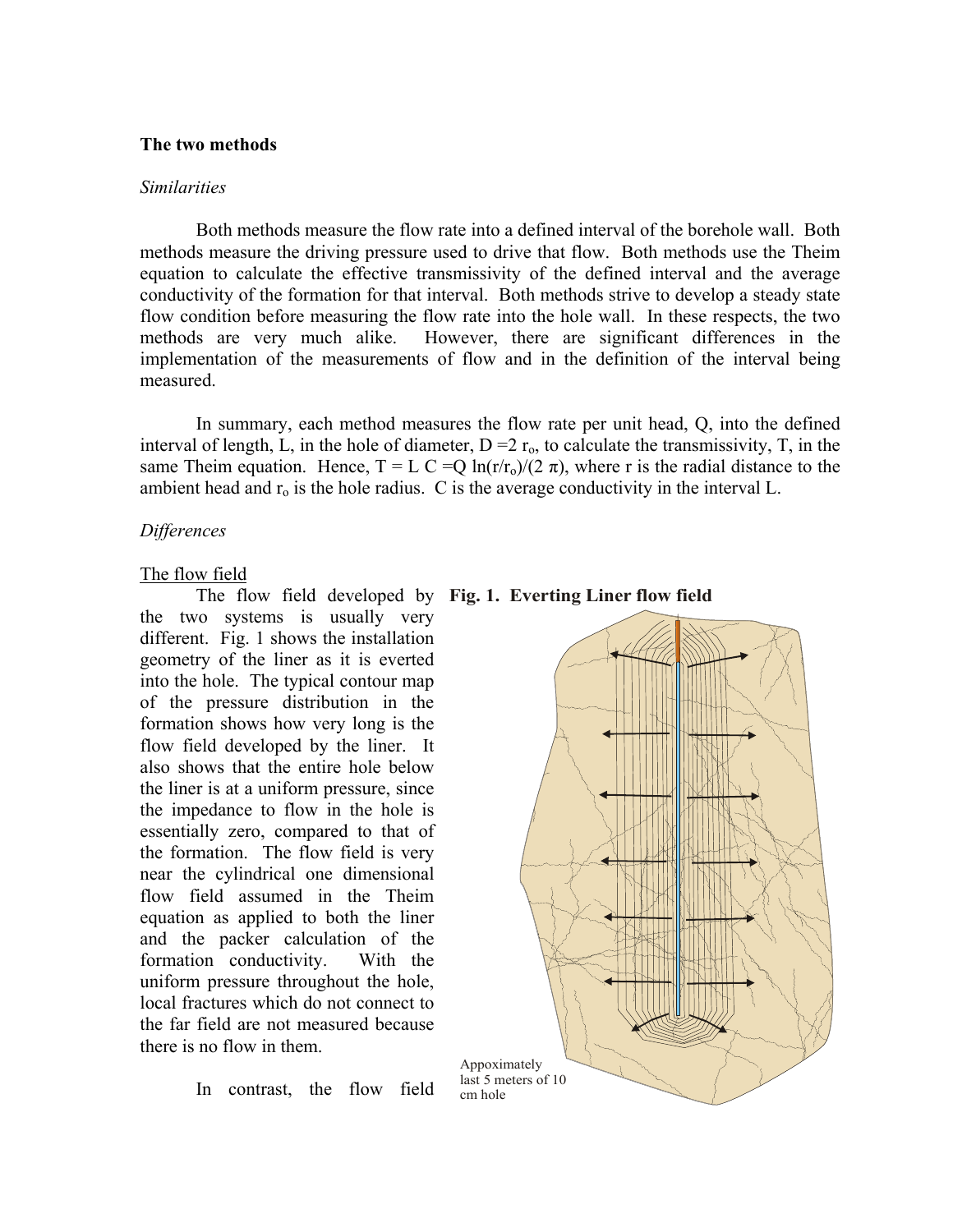## **The two methods**

#### *Similarities*

Both methods measure the flow rate into a defined interval of the borehole wall. Both methods measure the driving pressure used to drive that flow. Both methods use the Theim equation to calculate the effective transmissivity of the defined interval and the average conductivity of the formation for that interval. Both methods strive to develop a steady state flow condition before measuring the flow rate into the hole wall. In these respects, the two methods are very much alike. However, there are significant differences in the implementation of the measurements of flow and in the definition of the interval being measured.

In summary, each method measures the flow rate per unit head, Q, into the defined interval of length, L, in the hole of diameter,  $D = 2 r_0$ , to calculate the transmissivity, T, in the same Theim equation. Hence,  $T = L C = Q \ln(r/r_0)/(2 \pi)$ , where r is the radial distance to the ambient head and  $r<sub>o</sub>$  is the hole radius. C is the average conductivity in the interval L.

# *Differences*

## The flow field

The flow field developed by **Fig. 1. Everting Liner flow field** the two systems is usually very different. Fig. 1 shows the installation geometry of the liner as it is everted into the hole. The typical contour map of the pressure distribution in the formation shows how very long is the flow field developed by the liner. It also shows that the entire hole below the liner is at a uniform pressure, since the impedance to flow in the hole is essentially zero, compared to that of the formation. The flow field is very near the cylindrical one dimensional flow field assumed in the Theim equation as applied to both the liner and the packer calculation of the formation conductivity. With the uniform pressure throughout the hole, local fractures which do not connect to the far field are not measured because there is no flow in them.



In contrast, the flow field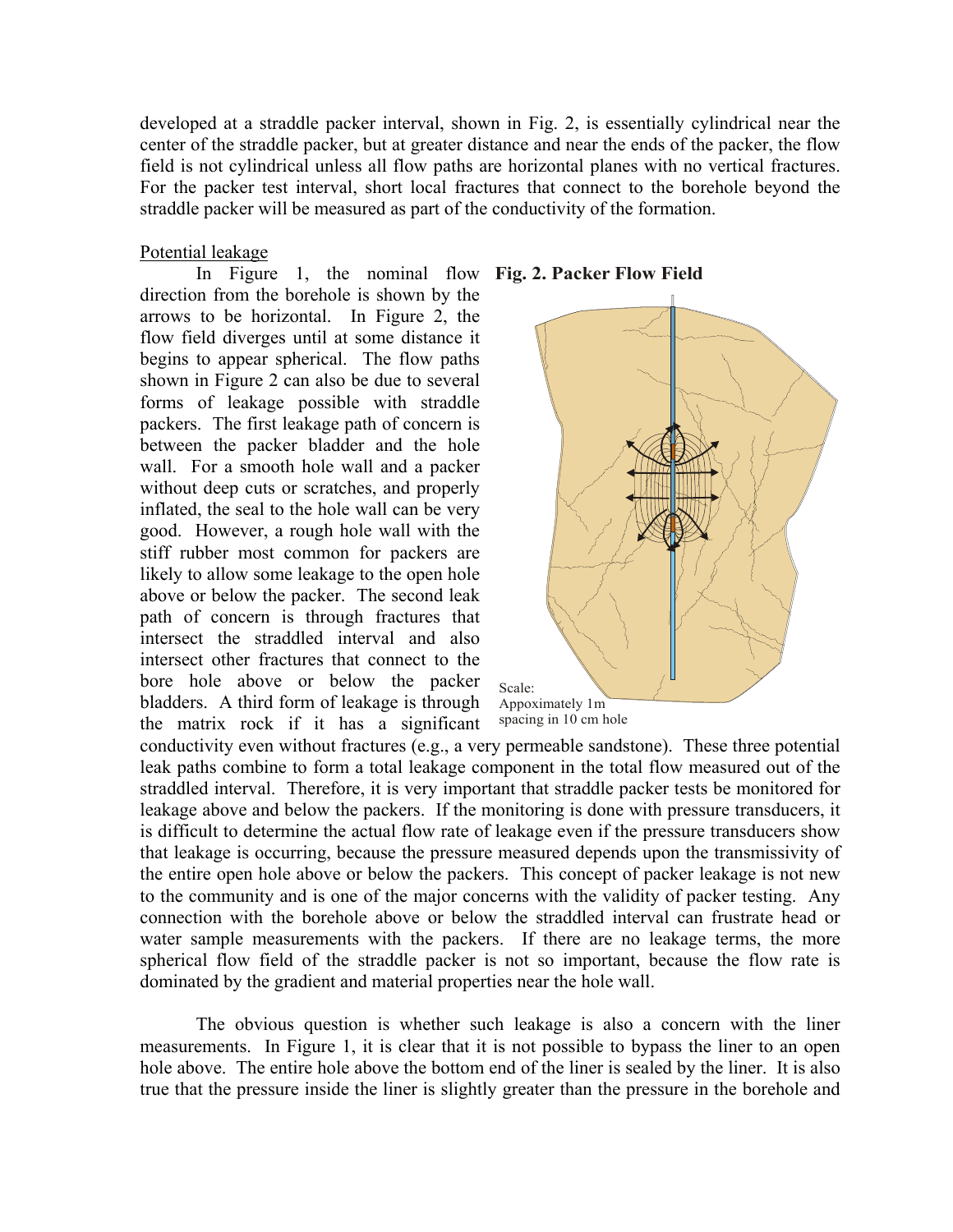developed at a straddle packer interval, shown in Fig. 2, is essentially cylindrical near the center of the straddle packer, but at greater distance and near the ends of the packer, the flow field is not cylindrical unless all flow paths are horizontal planes with no vertical fractures. For the packer test interval, short local fractures that connect to the borehole beyond the straddle packer will be measured as part of the conductivity of the formation.

# Potential leakage

In Figure 1, the nominal flow **Fig. 2. Packer Flow Field**direction from the borehole is shown by the arrows to be horizontal. In Figure 2, the flow field diverges until at some distance it begins to appear spherical. The flow paths shown in Figure 2 can also be due to several forms of leakage possible with straddle packers. The first leakage path of concern is between the packer bladder and the hole wall. For a smooth hole wall and a packer without deep cuts or scratches, and properly inflated, the seal to the hole wall can be very good. However, a rough hole wall with the stiff rubber most common for packers are likely to allow some leakage to the open hole above or below the packer. The second leak path of concern is through fractures that intersect the straddled interval and also intersect other fractures that connect to the bore hole above or below the packer bladders. A third form of leakage is through the matrix rock if it has a significant



conductivity even without fractures (e.g., a very permeable sandstone). These three potential leak paths combine to form a total leakage component in the total flow measured out of the straddled interval. Therefore, it is very important that straddle packer tests be monitored for leakage above and below the packers. If the monitoring is done with pressure transducers, it is difficult to determine the actual flow rate of leakage even if the pressure transducers show that leakage is occurring, because the pressure measured depends upon the transmissivity of the entire open hole above or below the packers. This concept of packer leakage is not new to the community and is one of the major concerns with the validity of packer testing. Any connection with the borehole above or below the straddled interval can frustrate head or water sample measurements with the packers. If there are no leakage terms, the more spherical flow field of the straddle packer is not so important, because the flow rate is dominated by the gradient and material properties near the hole wall.

The obvious question is whether such leakage is also a concern with the liner measurements. In Figure 1, it is clear that it is not possible to bypass the liner to an open hole above. The entire hole above the bottom end of the liner is sealed by the liner. It is also true that the pressure inside the liner is slightly greater than the pressure in the borehole and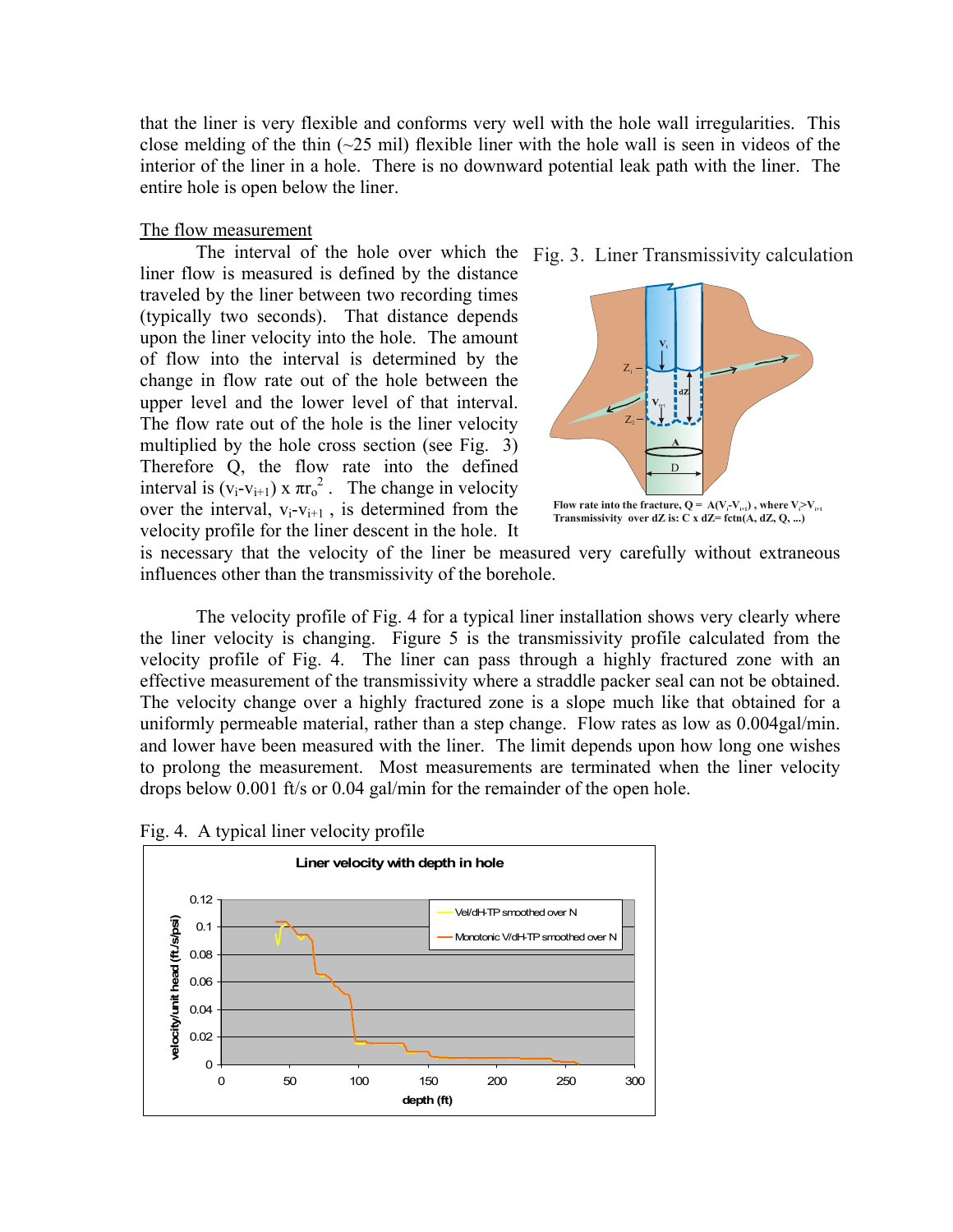that the liner is very flexible and conforms very well with the hole wall irregularities. This close melding of the thin  $(-25 \text{ mil})$  flexible liner with the hole wall is seen in videos of the interior of the liner in a hole. There is no downward potential leak path with the liner. The entire hole is open below the liner.

## The flow measurement

The interval of the hole over which the Fig. 3. Liner Transmissivity calculation liner flow is measured is defined by the distance traveled by the liner between two recording times (typically two seconds). That distance depends upon the liner velocity into the hole. The amount of flow into the interval is determined by the change in flow rate out of the hole between the upper level and the lower level of that interval. The flow rate out of the hole is the liner velocity multiplied by the hole cross section (see Fig. 3) Therefore Q, the flow rate into the defined interval is  $(v_i-v_{i+1}) \times \pi r_0^2$ . The change in velocity over the interval,  $v_i-v_{i+1}$ , is determined from the velocity profile for the liner descent in the hole. It



is necessary that the velocity of the liner be measured very carefully without extraneous influences other than the transmissivity of the borehole.

The velocity profile of Fig. 4 for a typical liner installation shows very clearly where the liner velocity is changing. Figure 5 is the transmissivity profile calculated from the velocity profile of Fig. 4. The liner can pass through a highly fractured zone with an effective measurement of the transmissivity where a straddle packer seal can not be obtained. The velocity change over a highly fractured zone is a slope much like that obtained for a uniformly permeable material, rather than a step change. Flow rates as low as 0.004gal/min. and lower have been measured with the liner. The limit depends upon how long one wishes to prolong the measurement. Most measurements are terminated when the liner velocity drops below 0.001 ft/s or 0.04 gal/min for the remainder of the open hole.

Fig. 4. A typical liner velocity profile

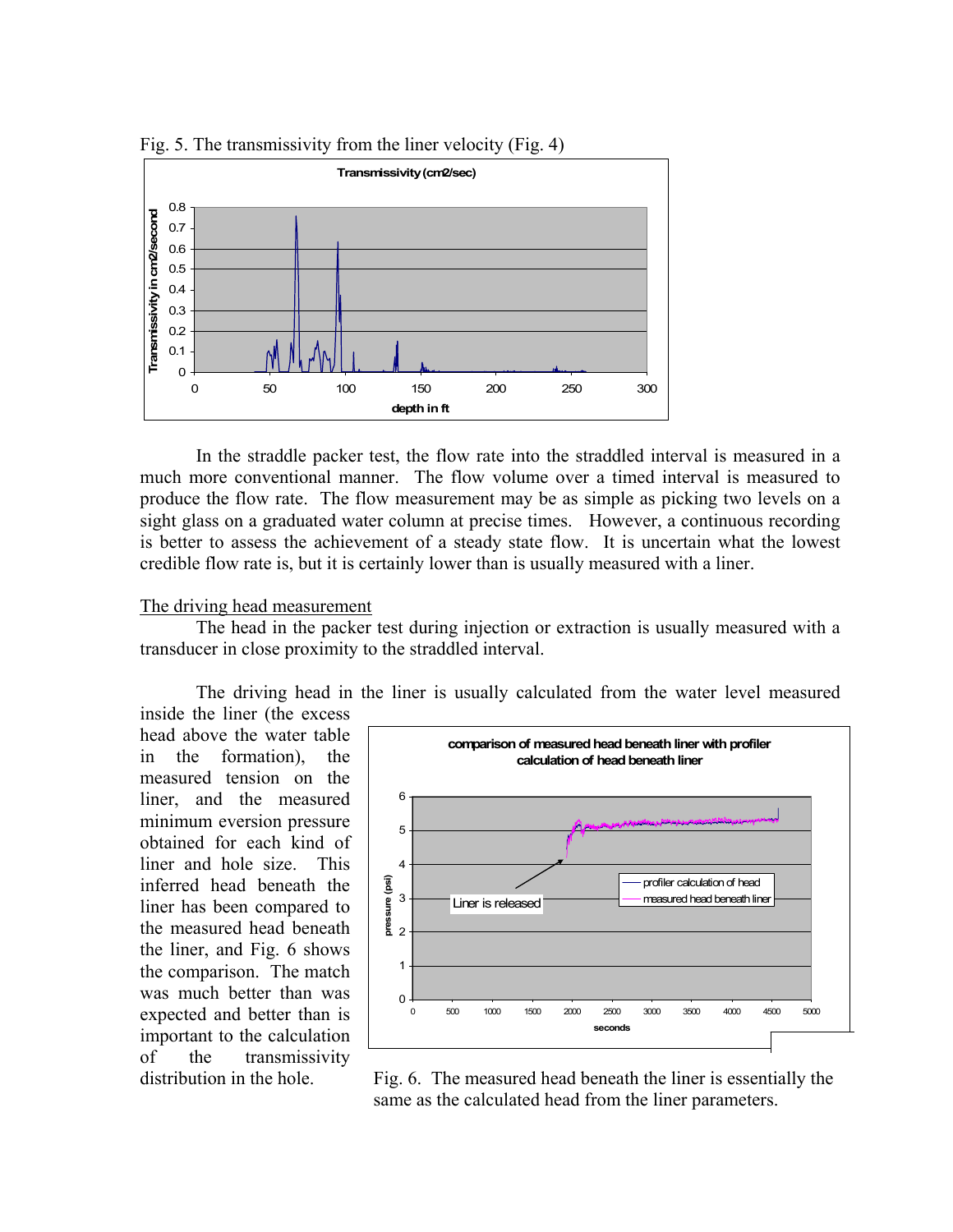

Fig. 5. The transmissivity from the liner velocity (Fig. 4)

In the straddle packer test, the flow rate into the straddled interval is measured in a much more conventional manner. The flow volume over a timed interval is measured to produce the flow rate. The flow measurement may be as simple as picking two levels on a sight glass on a graduated water column at precise times. However, a continuous recording is better to assess the achievement of a steady state flow. It is uncertain what the lowest credible flow rate is, but it is certainly lower than is usually measured with a liner.

# The driving head measurement

The head in the packer test during injection or extraction is usually measured with a transducer in close proximity to the straddled interval.

The driving head in the liner is usually calculated from the water level measured inside the liner (the excess

head above the water table in the formation), the measured tension on the liner, and the measured minimum eversion pressure obtained for each kind of liner and hole size. This inferred head beneath the liner has been compared to the measured head beneath the liner, and Fig. 6 shows the comparison. The match was much better than was expected and better than is important to the calculation of the transmissivity



distribution in the hole. Fig. 6. The measured head beneath the liner is essentially the same as the calculated head from the liner parameters.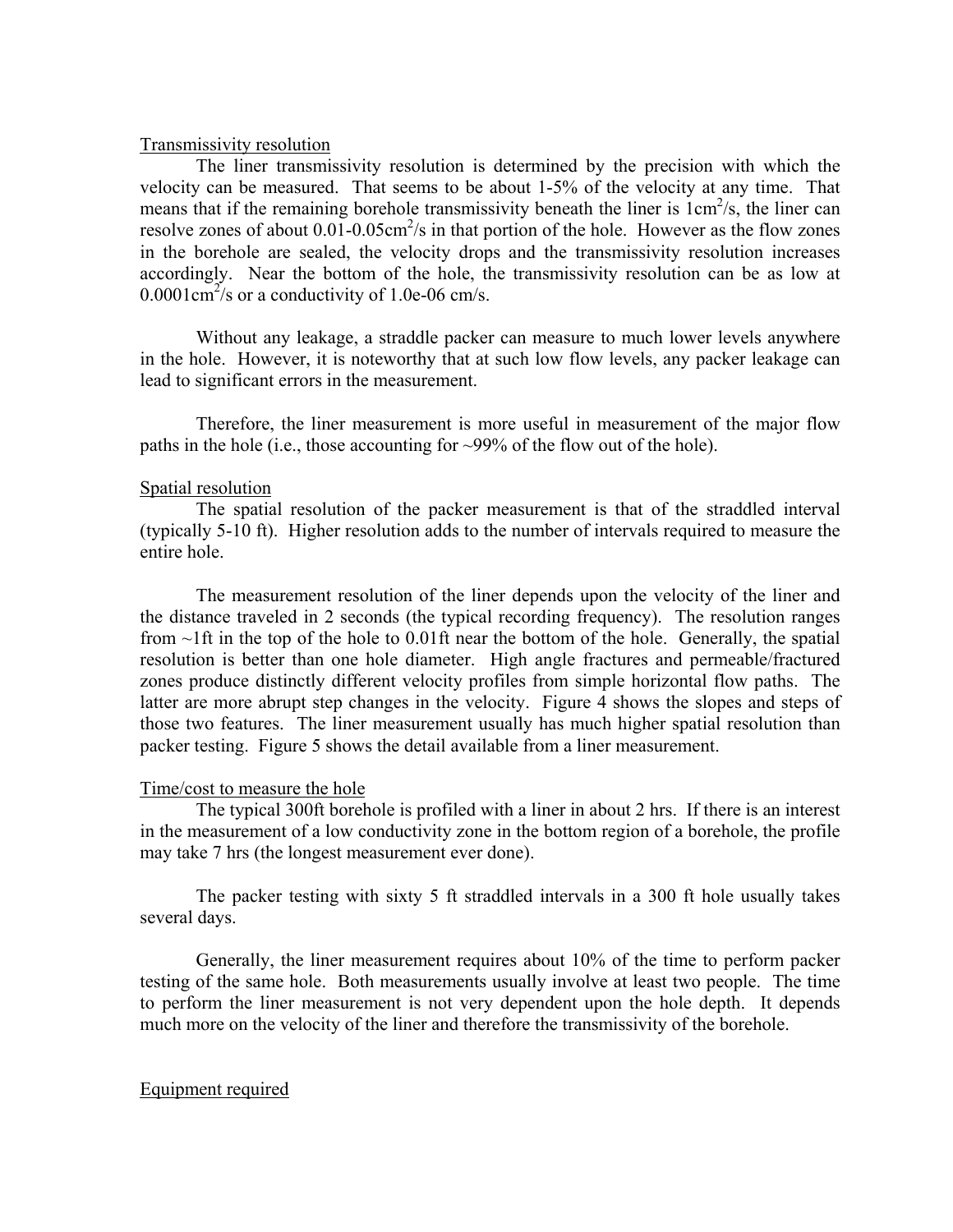## Transmissivity resolution

The liner transmissivity resolution is determined by the precision with which the velocity can be measured. That seems to be about 1-5% of the velocity at any time. That means that if the remaining borehole transmissivity beneath the liner is  $1 \text{cm}^2/\text{s}$ , the liner can resolve zones of about  $0.01$ - $0.05$ cm<sup>2</sup>/s in that portion of the hole. However as the flow zones in the borehole are sealed, the velocity drops and the transmissivity resolution increases accordingly. Near the bottom of the hole, the transmissivity resolution can be as low at  $0.0001 \text{cm}^2/\text{s}$  or a conductivity of 1.0e-06 cm/s.

Without any leakage, a straddle packer can measure to much lower levels anywhere in the hole. However, it is noteworthy that at such low flow levels, any packer leakage can lead to significant errors in the measurement.

Therefore, the liner measurement is more useful in measurement of the major flow paths in the hole (i.e., those accounting for ~99% of the flow out of the hole).

# Spatial resolution

The spatial resolution of the packer measurement is that of the straddled interval (typically 5-10 ft). Higher resolution adds to the number of intervals required to measure the entire hole.

The measurement resolution of the liner depends upon the velocity of the liner and the distance traveled in 2 seconds (the typical recording frequency). The resolution ranges from  $\sim$ 1ft in the top of the hole to 0.01ft near the bottom of the hole. Generally, the spatial resolution is better than one hole diameter. High angle fractures and permeable/fractured zones produce distinctly different velocity profiles from simple horizontal flow paths. The latter are more abrupt step changes in the velocity. Figure 4 shows the slopes and steps of those two features. The liner measurement usually has much higher spatial resolution than packer testing. Figure 5 shows the detail available from a liner measurement.

# Time/cost to measure the hole

The typical 300ft borehole is profiled with a liner in about 2 hrs. If there is an interest in the measurement of a low conductivity zone in the bottom region of a borehole, the profile may take 7 hrs (the longest measurement ever done).

The packer testing with sixty 5 ft straddled intervals in a 300 ft hole usually takes several days.

Generally, the liner measurement requires about 10% of the time to perform packer testing of the same hole. Both measurements usually involve at least two people. The time to perform the liner measurement is not very dependent upon the hole depth. It depends much more on the velocity of the liner and therefore the transmissivity of the borehole.

# Equipment required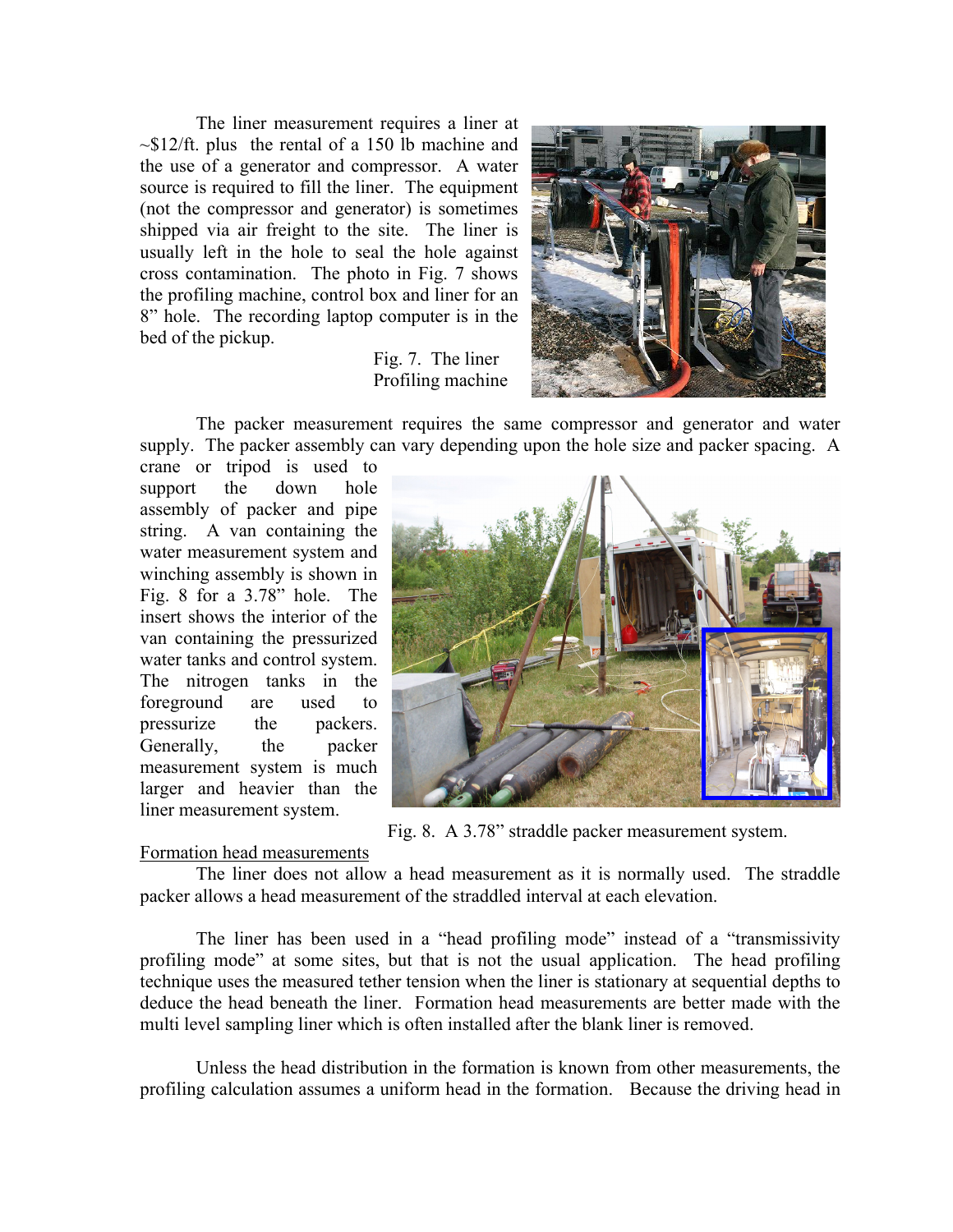The liner measurement requires a liner at  $\sim$ \$12/ft. plus the rental of a 150 lb machine and the use of a generator and compressor. A water source is required to fill the liner. The equipment (not the compressor and generator) is sometimes shipped via air freight to the site. The liner is usually left in the hole to seal the hole against cross contamination. The photo in Fig. 7 shows the profiling machine, control box and liner for an 8" hole. The recording laptop computer is in the bed of the pickup.

# Fig. 7. The liner Profiling machine



The packer measurement requires the same compressor and generator and water supply. The packer assembly can vary depending upon the hole size and packer spacing. A

crane or tripod is used to support the down hole assembly of packer and pipe string. A van containing the water measurement system and winching assembly is shown in Fig. 8 for a 3.78" hole. The insert shows the interior of the van containing the pressurized water tanks and control system. The nitrogen tanks in the foreground are used to pressurize the packers. Generally, the packer measurement system is much larger and heavier than the liner measurement system.



Fig. 8. A 3.78" straddle packer measurement system.

# Formation head measurements

The liner does not allow a head measurement as it is normally used. The straddle packer allows a head measurement of the straddled interval at each elevation.

The liner has been used in a "head profiling mode" instead of a "transmissivity profiling mode" at some sites, but that is not the usual application. The head profiling technique uses the measured tether tension when the liner is stationary at sequential depths to deduce the head beneath the liner. Formation head measurements are better made with the multi level sampling liner which is often installed after the blank liner is removed.

Unless the head distribution in the formation is known from other measurements, the profiling calculation assumes a uniform head in the formation. Because the driving head in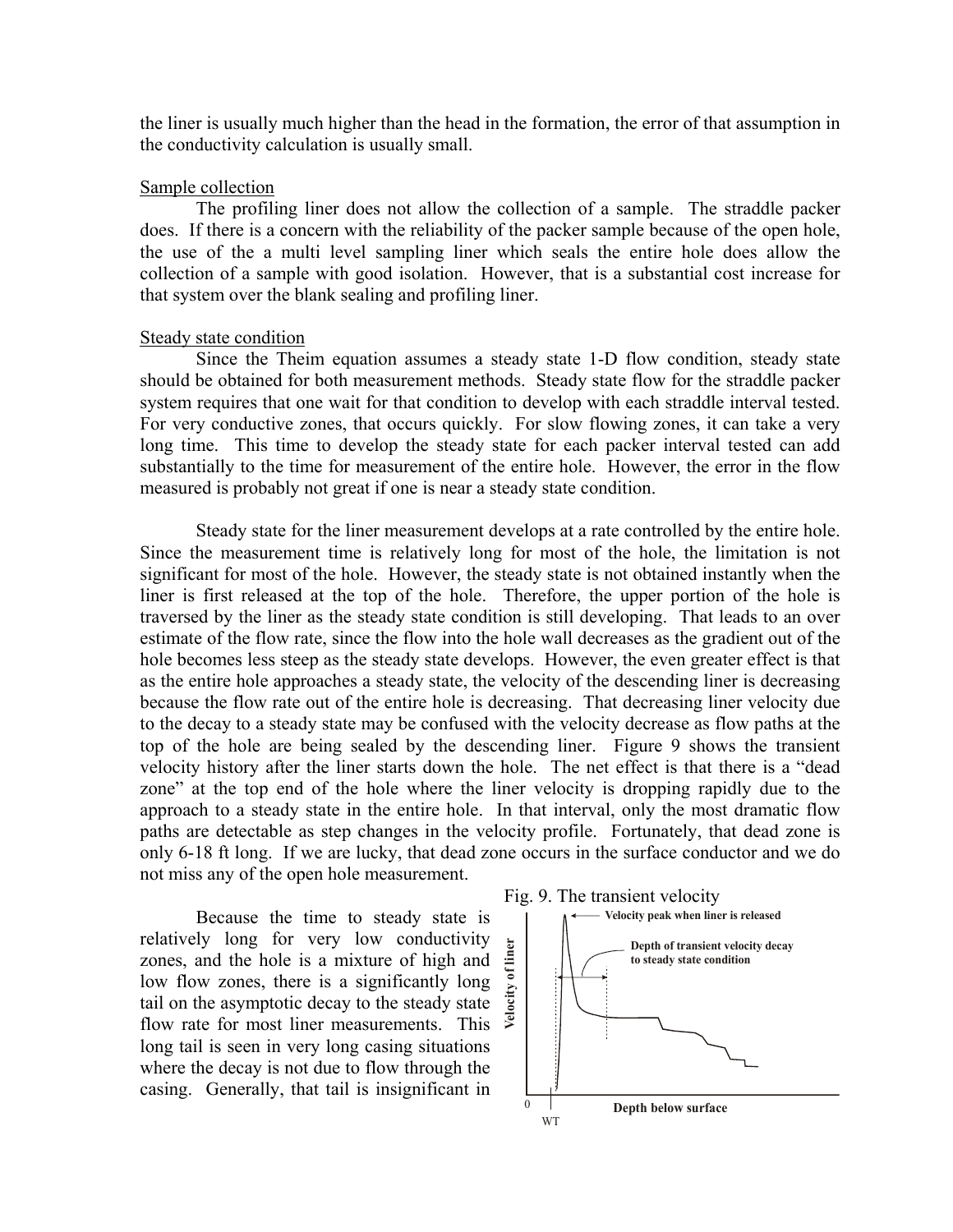the liner is usually much higher than the head in the formation, the error of that assumption in the conductivity calculation is usually small.

#### Sample collection

The profiling liner does not allow the collection of a sample. The straddle packer does. If there is a concern with the reliability of the packer sample because of the open hole, the use of the a multi level sampling liner which seals the entire hole does allow the collection of a sample with good isolation. However, that is a substantial cost increase for that system over the blank sealing and profiling liner.

#### Steady state condition

Since the Theim equation assumes a steady state 1-D flow condition, steady state should be obtained for both measurement methods. Steady state flow for the straddle packer system requires that one wait for that condition to develop with each straddle interval tested. For very conductive zones, that occurs quickly. For slow flowing zones, it can take a very long time. This time to develop the steady state for each packer interval tested can add substantially to the time for measurement of the entire hole. However, the error in the flow measured is probably not great if one is near a steady state condition.

Steady state for the liner measurement develops at a rate controlled by the entire hole. Since the measurement time is relatively long for most of the hole, the limitation is not significant for most of the hole. However, the steady state is not obtained instantly when the liner is first released at the top of the hole. Therefore, the upper portion of the hole is traversed by the liner as the steady state condition is still developing. That leads to an over estimate of the flow rate, since the flow into the hole wall decreases as the gradient out of the hole becomes less steep as the steady state develops. However, the even greater effect is that as the entire hole approaches a steady state, the velocity of the descending liner is decreasing because the flow rate out of the entire hole is decreasing. That decreasing liner velocity due to the decay to a steady state may be confused with the velocity decrease as flow paths at the top of the hole are being sealed by the descending liner. Figure 9 shows the transient velocity history after the liner starts down the hole. The net effect is that there is a "dead zone" at the top end of the hole where the liner velocity is dropping rapidly due to the approach to a steady state in the entire hole. In that interval, only the most dramatic flow paths are detectable as step changes in the velocity profile. Fortunately, that dead zone is only 6-18 ft long. If we are lucky, that dead zone occurs in the surface conductor and we do not miss any of the open hole measurement.

Because the time to steady state is relatively long for very low conductivity zones, and the hole is a mixture of high and low flow zones, there is a significantly long tail on the asymptotic decay to the steady state flow rate for most liner measurements. This long tail is seen in very long casing situations where the decay is not due to flow through the casing. Generally, that tail is insignificant in

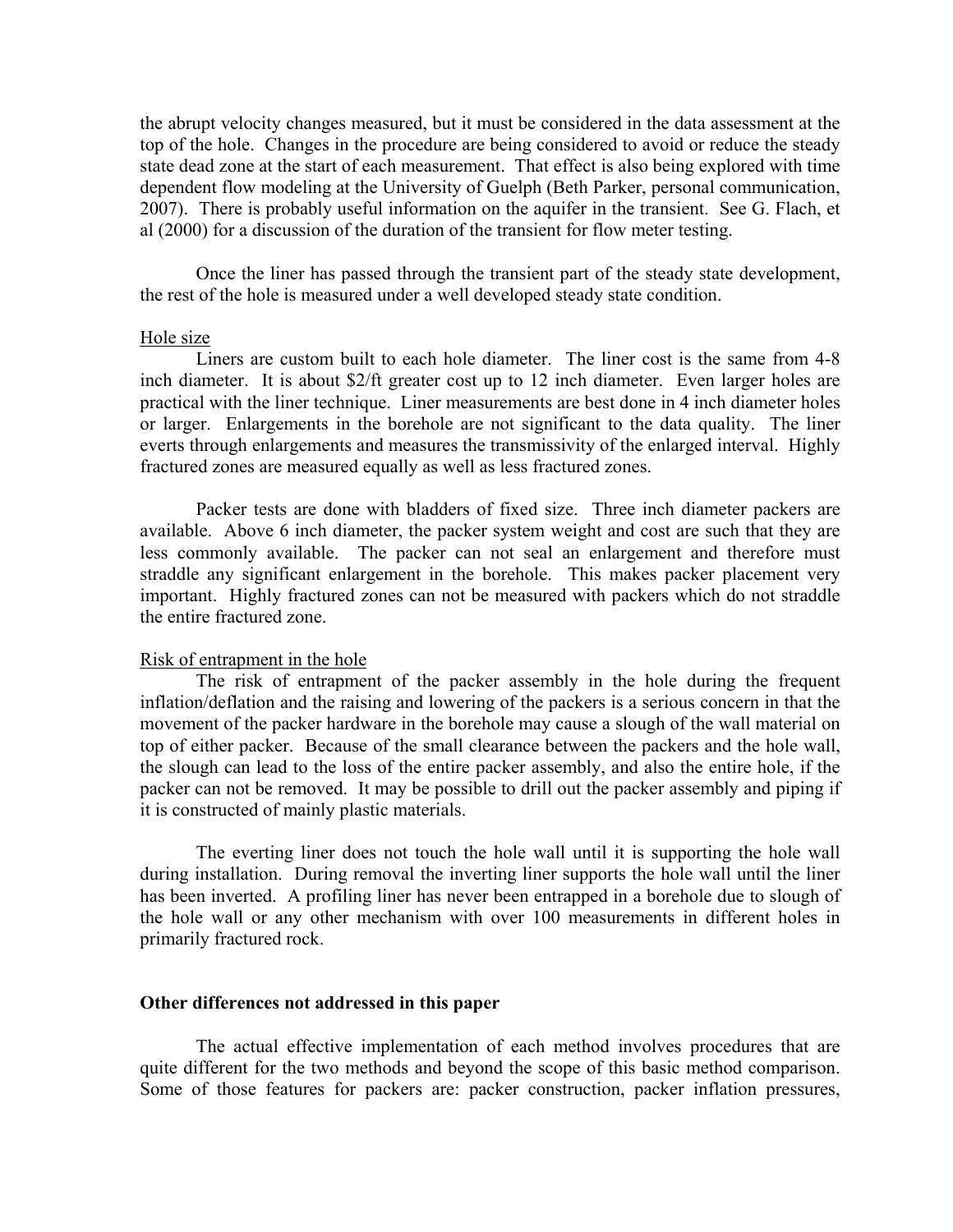the abrupt velocity changes measured, but it must be considered in the data assessment at the top of the hole. Changes in the procedure are being considered to avoid or reduce the steady state dead zone at the start of each measurement. That effect is also being explored with time dependent flow modeling at the University of Guelph (Beth Parker, personal communication, 2007). There is probably useful information on the aquifer in the transient. See G. Flach, et al (2000) for a discussion of the duration of the transient for flow meter testing.

Once the liner has passed through the transient part of the steady state development, the rest of the hole is measured under a well developed steady state condition.

## Hole size

Liners are custom built to each hole diameter. The liner cost is the same from 4-8 inch diameter. It is about \$2/ft greater cost up to 12 inch diameter. Even larger holes are practical with the liner technique. Liner measurements are best done in 4 inch diameter holes or larger. Enlargements in the borehole are not significant to the data quality. The liner everts through enlargements and measures the transmissivity of the enlarged interval. Highly fractured zones are measured equally as well as less fractured zones.

Packer tests are done with bladders of fixed size. Three inch diameter packers are available. Above 6 inch diameter, the packer system weight and cost are such that they are less commonly available. The packer can not seal an enlargement and therefore must straddle any significant enlargement in the borehole. This makes packer placement very important. Highly fractured zones can not be measured with packers which do not straddle the entire fractured zone.

#### Risk of entrapment in the hole

The risk of entrapment of the packer assembly in the hole during the frequent inflation/deflation and the raising and lowering of the packers is a serious concern in that the movement of the packer hardware in the borehole may cause a slough of the wall material on top of either packer. Because of the small clearance between the packers and the hole wall, the slough can lead to the loss of the entire packer assembly, and also the entire hole, if the packer can not be removed. It may be possible to drill out the packer assembly and piping if it is constructed of mainly plastic materials.

The everting liner does not touch the hole wall until it is supporting the hole wall during installation. During removal the inverting liner supports the hole wall until the liner has been inverted. A profiling liner has never been entrapped in a borehole due to slough of the hole wall or any other mechanism with over 100 measurements in different holes in primarily fractured rock.

#### **Other differences not addressed in this paper**

The actual effective implementation of each method involves procedures that are quite different for the two methods and beyond the scope of this basic method comparison. Some of those features for packers are: packer construction, packer inflation pressures,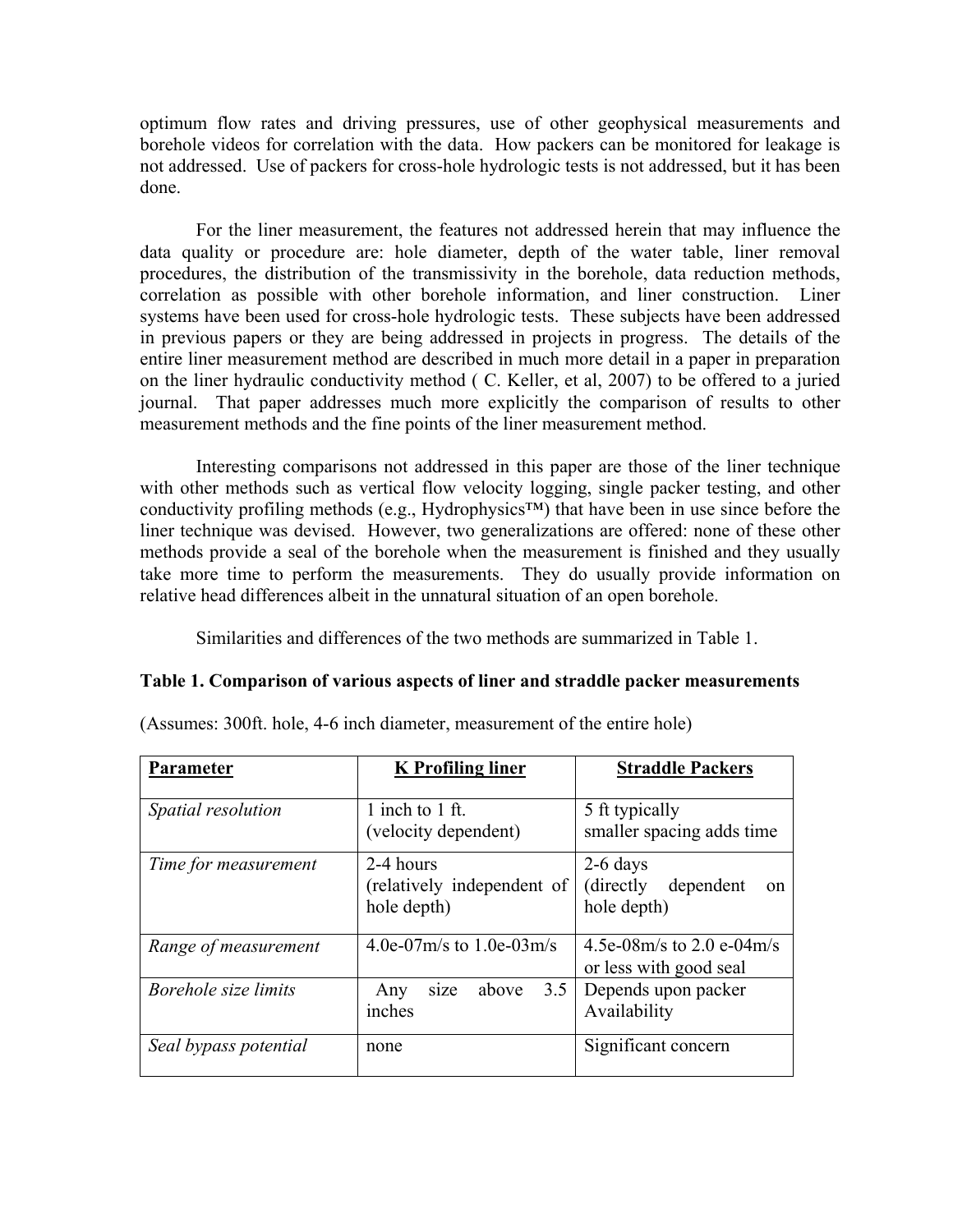optimum flow rates and driving pressures, use of other geophysical measurements and borehole videos for correlation with the data. How packers can be monitored for leakage is not addressed. Use of packers for cross-hole hydrologic tests is not addressed, but it has been done.

For the liner measurement, the features not addressed herein that may influence the data quality or procedure are: hole diameter, depth of the water table, liner removal procedures, the distribution of the transmissivity in the borehole, data reduction methods, correlation as possible with other borehole information, and liner construction. Liner systems have been used for cross-hole hydrologic tests. These subjects have been addressed in previous papers or they are being addressed in projects in progress. The details of the entire liner measurement method are described in much more detail in a paper in preparation on the liner hydraulic conductivity method ( C. Keller, et al, 2007) to be offered to a juried journal. That paper addresses much more explicitly the comparison of results to other measurement methods and the fine points of the liner measurement method.

Interesting comparisons not addressed in this paper are those of the liner technique with other methods such as vertical flow velocity logging, single packer testing, and other conductivity profiling methods (e.g., Hydrophysics™) that have been in use since before the liner technique was devised. However, two generalizations are offered: none of these other methods provide a seal of the borehole when the measurement is finished and they usually take more time to perform the measurements. They do usually provide information on relative head differences albeit in the unnatural situation of an open borehole.

Similarities and differences of the two methods are summarized in Table 1.

# **Table 1. Comparison of various aspects of liner and straddle packer measurements**

| Parameter             | <b>K</b> Profiling liner                               | <b>Straddle Packers</b>                                    |
|-----------------------|--------------------------------------------------------|------------------------------------------------------------|
| Spatial resolution    | 1 inch to 1 ft.                                        | 5 ft typically                                             |
|                       | (velocity dependent)                                   | smaller spacing adds time                                  |
| Time for measurement  | 2-4 hours<br>(relatively independent of<br>hole depth) | $2-6$ days<br>(directly)<br>dependent<br>on<br>hole depth) |
| Range of measurement  | 4.0e-07m/s to 1.0e-03m/s                               | 4.5e-08m/s to 2.0 e-04m/s<br>or less with good seal        |
| Borehole size limits  | 3.5<br>above<br>size<br>Any<br>inches                  | Depends upon packer<br>Availability                        |
| Seal bypass potential | none                                                   | Significant concern                                        |

(Assumes: 300ft. hole, 4-6 inch diameter, measurement of the entire hole)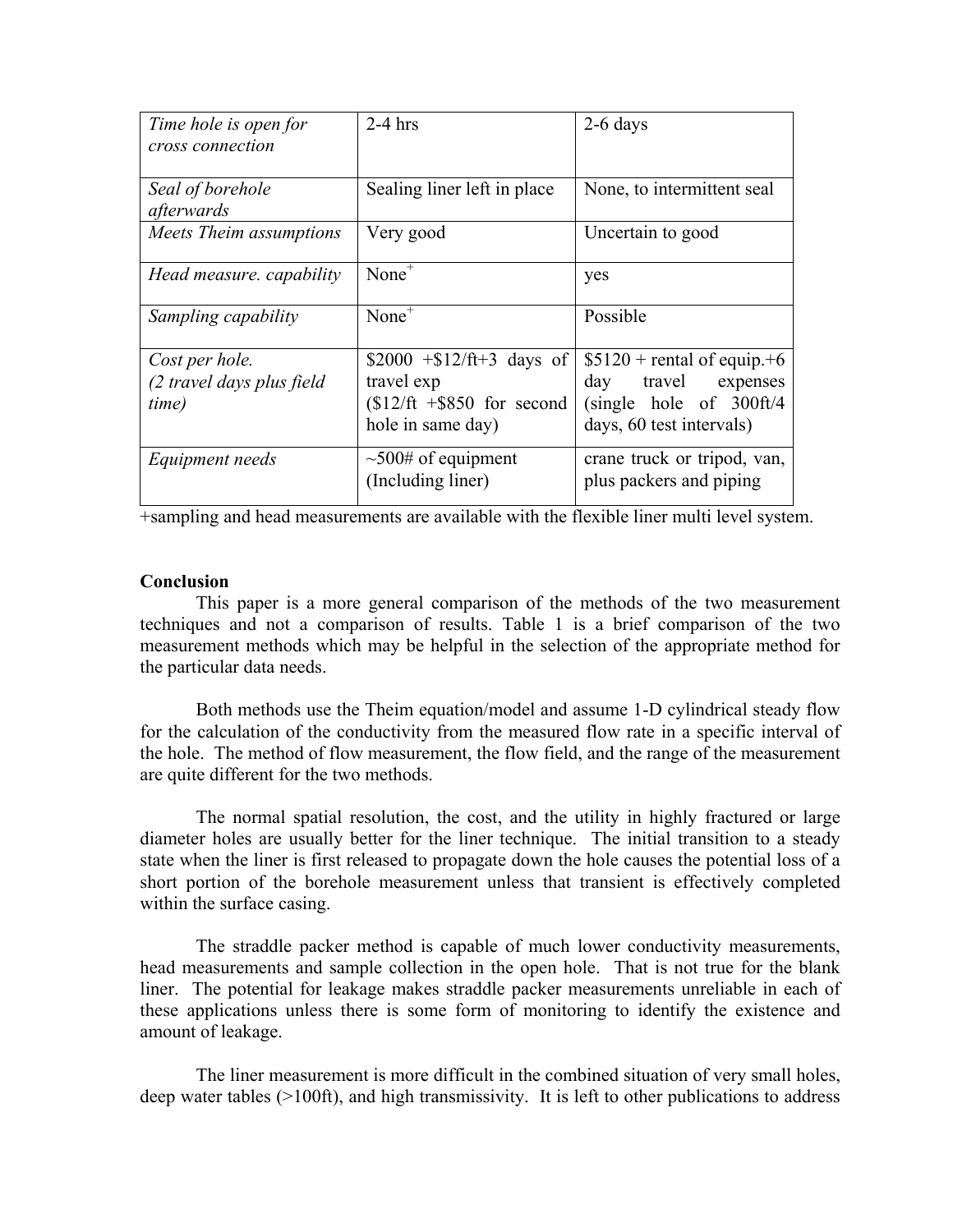| Time hole is open for<br>cross connection            | $2-4$ hrs                                                                                          | $2-6$ days                                                                                                   |
|------------------------------------------------------|----------------------------------------------------------------------------------------------------|--------------------------------------------------------------------------------------------------------------|
| Seal of borehole<br>afterwards                       | Sealing liner left in place                                                                        | None, to intermittent seal                                                                                   |
| Meets Theim assumptions                              | Very good                                                                                          | Uncertain to good                                                                                            |
| Head measure. capability                             | $None+$                                                                                            | yes                                                                                                          |
| Sampling capability                                  | $None+$                                                                                            | Possible                                                                                                     |
| Cost per hole.<br>(2 travel days plus field<br>time) | $$2000 + $12/\text{ft}+3$ days of<br>travel exp<br>$$12/ft + $850$ for second<br>hole in same day) | $$5120 +$ rental of equip.+6<br>day travel expenses<br>$(single$ hole of 300ft/4<br>days, 60 test intervals) |
| Equipment needs                                      | $\sim 500$ # of equipment<br>(Including liner)                                                     | crane truck or tripod, van,<br>plus packers and piping                                                       |

 $\frac{1}{x}$  +sampling and head measurements are available with the flexible liner multi level system.

# **Conclusion**

This paper is a more general comparison of the methods of the two measurement techniques and not a comparison of results. Table 1 is a brief comparison of the two measurement methods which may be helpful in the selection of the appropriate method for the particular data needs.

Both methods use the Theim equation/model and assume 1-D cylindrical steady flow for the calculation of the conductivity from the measured flow rate in a specific interval of the hole. The method of flow measurement, the flow field, and the range of the measurement are quite different for the two methods.

The normal spatial resolution, the cost, and the utility in highly fractured or large diameter holes are usually better for the liner technique. The initial transition to a steady state when the liner is first released to propagate down the hole causes the potential loss of a short portion of the borehole measurement unless that transient is effectively completed within the surface casing.

The straddle packer method is capable of much lower conductivity measurements, head measurements and sample collection in the open hole. That is not true for the blank liner. The potential for leakage makes straddle packer measurements unreliable in each of these applications unless there is some form of monitoring to identify the existence and amount of leakage.

The liner measurement is more difficult in the combined situation of very small holes, deep water tables (>100ft), and high transmissivity. It is left to other publications to address